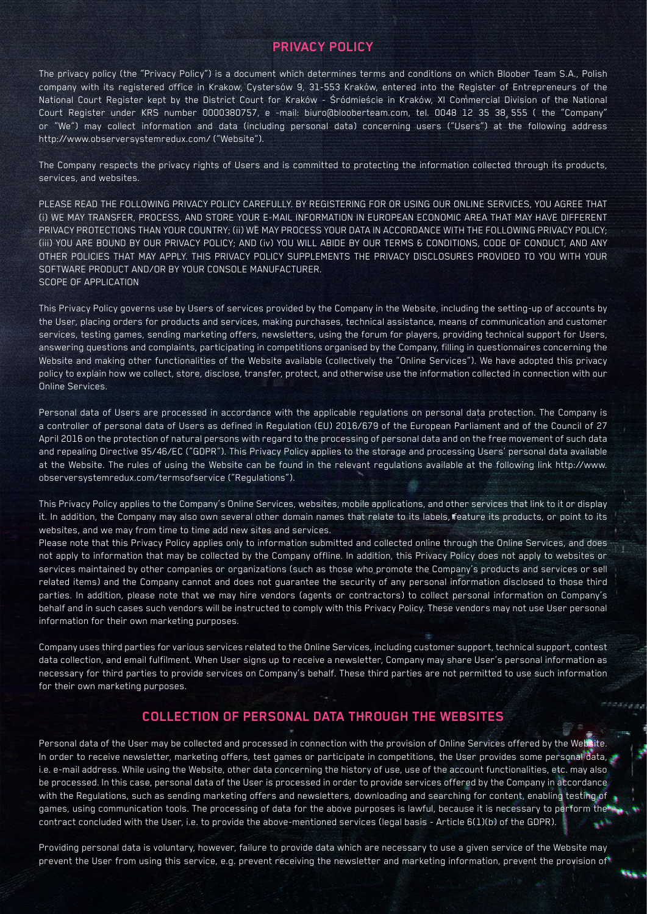#### **PRIVACY POLICY**

The privacy policy (the "Privacy Policy") is a document which determines terms and conditions on which Bloober Team S.A., Polish company with its registered office in Krakow, Cystersów 9, 31-553 Kraków, entered into the Register of Entrepreneurs of the National Court Register kept by the District Court for Kraków - Śródmieście in Kraków, XI Commercial Division of the National Court Register under KRS number 0000380757, e -mail: biuro@blooberteam.com, tel. 0048 12 35 38 555 ( the "Company" or "We") may collect information and data (including personal data) concerning users ("Users") at the following address http://www.observersystemredux.com/ ("Website").

The Company respects the privacy rights of Users and is committed to protecting the information collected through its products, services, and websites.

PLEASE READ THE FOLLOWING PRIVACY POLICY CAREFULLY. BY REGISTERING FOR OR USING OUR ONLINE SERVICES, YOU AGREE THAT (i) WE MAY TRANSFER, PROCESS, AND STORE YOUR E-MAIL INFORMATION IN EUROPEAN ECONOMIC AREA THAT MAY HAVE DIFFERENT PRIVACY PROTECTIONS THAN YOUR COUNTRY; (ii) WE MAY PROCESS YOUR DATA IN ACCORDANCE WITH THE FOLLOWING PRIVACY POLICY; (iii) YOU ARE BOUND BY OUR PRIVACY POLICY; AND (iv) YOU WILL ABIDE BY OUR TERMS & CONDITIONS, CODE OF CONDUCT, AND ANY OTHER POLICIES THAT MAY APPLY. THIS PRIVACY POLICY SUPPLEMENTS THE PRIVACY DISCLOSURES PROVIDED TO YOU WITH YOUR SOFTWARE PRODUCT AND/OR BY YOUR CONSOLE MANUFACTURER. SCOPE OF APPLICATION

This Privacy Policy governs use by Users of services provided by the Company in the Website, including the setting-up of accounts by the User, placing orders for products and services, making purchases, technical assistance, means of communication and customer services, testing games, sending marketing offers, newsletters, using the forum for players, providing technical support for Users, answering questions and complaints, participating in competitions organised by the Company, filling in questionnaires concerning the Website and making other functionalities of the Website available (collectively the "Online Services"). We have adopted this privacy policy to explain how we collect, store, disclose, transfer, protect, and otherwise use the information collected in connection with our Online Services.

Personal data of Users are processed in accordance with the applicable regulations on personal data protection. The Company is a controller of personal data of Users as defined in Regulation (EU) 2016/679 of the European Parliament and of the Council of 27 April 2016 on the protection of natural persons with regard to the processing of personal data and on the free movement of such data and repealing Directive 95/46/EC ("GDPR"). This Privacy Policy applies to the storage and processing Users' personal data available at the Website. The rules of using the Website can be found in the relevant regulations available at the following link http://www. observersystemredux.com/termsofservice ("Regulations").

This Privacy Policy applies to the Company's Online Services, websites, mobile applications, and other services that link to it or display it. In addition, the Company may also own several other domain names that relate to its labels, feature its products, or point to its websites, and we may from time to time add new sites and services.

Please note that this Privacy Policy applies only to information submitted and collected online through the Online Services, and does not apply to information that may be collected by the Company offline. In addition, this Privacy Policy does not apply to websites or services maintained by other companies or organizations (such as those who promote the Company's products and services or sell related items) and the Company cannot and does not guarantee the security of any personal information disclosed to those third parties. In addition, please note that we may hire vendors (agents or contractors) to collect personal information on Company's behalf and in such cases such vendors will be instructed to comply with this Privacy Policy. These vendors may not use User personal information for their own marketing purposes.

Company uses third parties for various services related to the Online Services, including customer support, technical support, contest data collection, and email fulfilment. When User signs up to receive a newsletter, Company may share User's personal information as necessary for third parties to provide services on Company's behalf. These third parties are not permitted to use such information for their own marketing purposes.

## **COLLECTION OF PERSONAL DATA THROUGH THE WEBSITES**

Personal data of the User may be collected and processed in connection with the provision of Online Services offered by the Website. In order to receive newsletter, marketing offers, test games or participate in competitions, the User provides some personal data, i.e. e-mail address. While using the Website, other data concerning the history of use, use of the account functionalities, etc. may also be processed. In this case, personal data of the User is processed in order to provide services offered by the Company in accordance with the Regulations, such as sending marketing offers and newsletters, downloading and searching for content, enabling testing of games, using communication tools. The processing of data for the above purposes is lawful, because it is necessary to perform the contract concluded with the User, i.e. to provide the above-mentioned services (legal basis - Article 6(1)(b) of the GDPR). دوير

Providing personal data is voluntary, however, failure to provide data which are necessary to use a given service of the Website may prevent the User from using this service, e.g. prevent receiving the newsletter and marketing information, prevent the provision of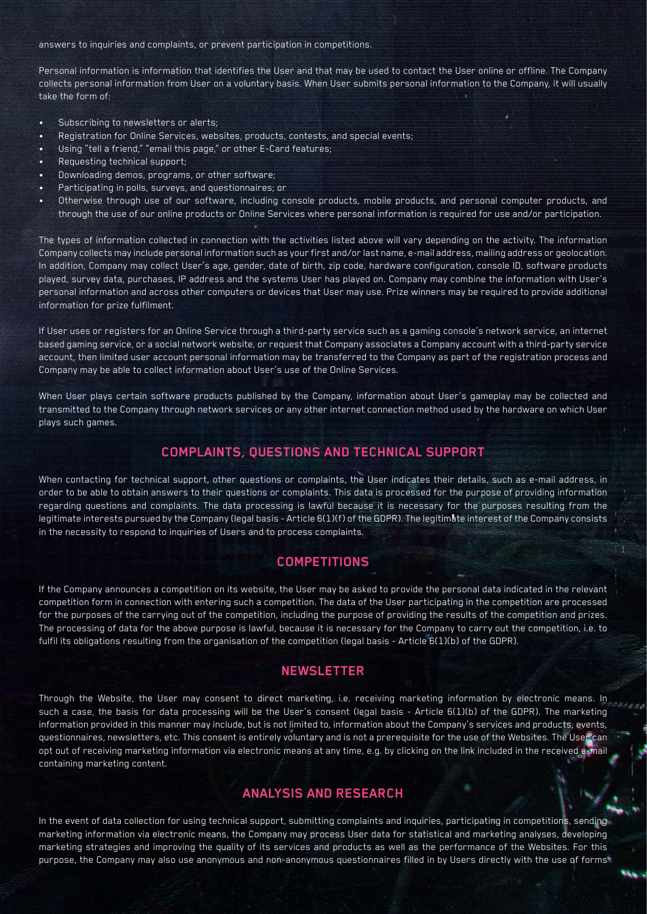answers to inquiries and complaints, or prevent participation in competitions.

Personal information is information that identifies the User and that may be used to contact the User online or offline. The Company collects personal information from User on a voluntary basis. When User submits personal information to the Company, it will usually take the form of:

- Subscribing to newsletters or alerts;
- Registration for Online Services, websites, products, contests, and special events;
- Using "tell a friend," "email this page," or other E-Card features;
- Requesting technical support;
- Downloading demos, programs, or other software;
- Participating in polls, surveys, and questionnaires; or
- Otherwise through use of our software, including console products, mobile products, and personal computer products, and through the use of our online products or Online Services where personal information is required for use and/or participation.

The types of information collected in connection with the activities listed above will vary depending on the activity. The information Company collects may include personal information such as your first and/or last name, e-mail address, mailing address or geolocation. In addition, Company may collect User's age, gender, date of birth, zip code, hardware configuration, console ID, software products played, survey data, purchases, IP address and the systems User has played on. Company may combine the information with User's personal information and across other computers or devices that User may use. Prize winners may be required to provide additional information for prize fulfilment.

If User uses or registers for an Online Service through a third-party service such as a gaming console's network service, an internet based gaming service, or a social network website, or request that Company associates a Company account with a third-party service account, then limited user account personal information may be transferred to the Company as part of the registration process and Company may be able to collect information about User's use of the Online Services.

When User plays certain software products published by the Company, information about User's gameplay may be collected and transmitted to the Company through network services or any other internet connection method used by the hardware on which User plays such games.

# **COMPLAINTS, QUESTIONS AND TECHNICAL SUPPORT**

When contacting for technical support, other questions or complaints, the User indicates their details, such as e-mail address, in order to be able to obtain answers to their questions or complaints. This data is processed for the purpose of providing information regarding questions and complaints. The data processing is lawful because it is necessary for the purposes resulting from the legitimate interests pursued by the Company (legal basis - Article 6(1)(f) of the GDPR). The legitimate interest of the Company consists in the necessity to respond to inquiries of Users and to process complaints.

# **COMPETITIONS**

If the Company announces a competition on its website, the User may be asked to provide the personal data indicated in the relevant competition form in connection with entering such a competition. The data of the User participating in the competition are processed for the purposes of the carrying out of the competition, including the purpose of providing the results of the competition and prizes. The processing of data for the above purpose is lawful, because it is necessary for the Company to carry out the competition, i.e. to fulfil its obligations resulting from the organisation of the competition (legal basis - Article 6(1)(b) of the GDPR).

## **NEWSLETTER**

Through the Website, the User may consent to direct marketing, i.e. receiving marketing information by electronic means. In such a case, the basis for data processing will be the User's consent (legal basis - Article 6(1)(b) of the GDPR). The marketing information provided in this manner may include, but is not limited to, information about the Company's services and products, events, questionnaires, newsletters, etc. This consent is entirely voluntary and is not a prerequisite for the use of the Websites. The User can opt out of receiving marketing information via electronic means at any time, e.g. by clicking on the link included in the received e-mail containing marketing content.

# **ANALYSIS AND RESEARCH**

In the event of data collection for using technical support, submitting complaints and inquiries, participating in competitions, sending marketing information via electronic means, the Company may process User data for statistical and marketing analyses, developing marketing strategies and improving the quality of its services and products as well as the performance of the Websites. For this purpose, the Company may also use anonymous and non-anonymous questionnaires filled in by Users directly with the use of forms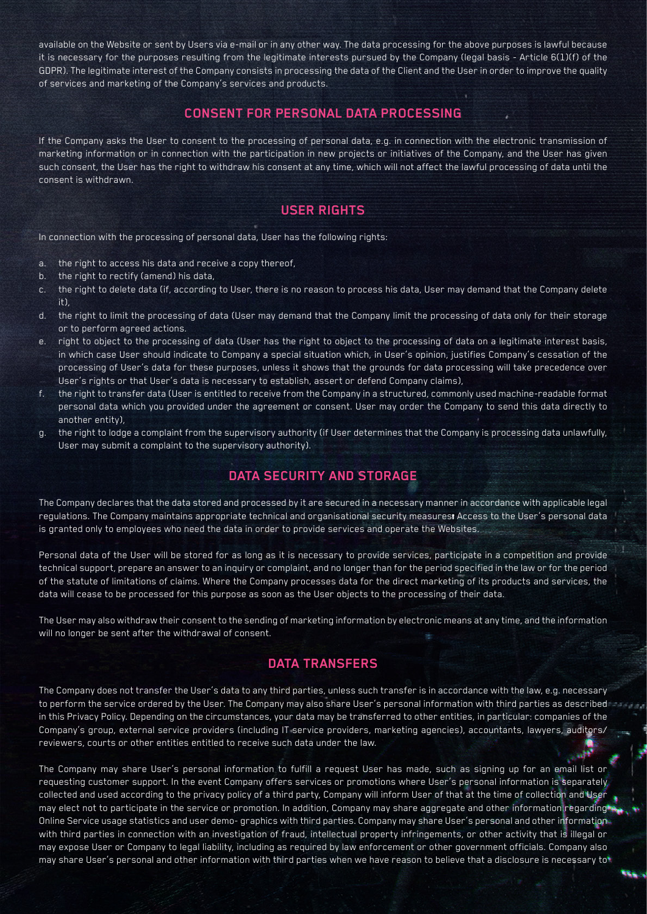available on the Website or sent by Users via e-mail or in any other way. The data processing for the above purposes is lawful because it is necessary for the purposes resulting from the legitimate interests pursued by the Company (legal basis - Article 6(1)(f) of the GDPR). The legitimate interest of the Company consists in processing the data of the Client and the User in order to improve the quality of services and marketing of the Company's services and products.

## **CONSENT FOR PERSONAL DATA PROCESSING**

If the Company asks the User to consent to the processing of personal data, e.g. in connection with the electronic transmission of marketing information or in connection with the participation in new projects or initiatives of the Company, and the User has given such consent, the User has the right to withdraw his consent at any time, which will not affect the lawful processing of data until the consent is withdrawn.

# **USER RIGHTS**

In connection with the processing of personal data, User has the following rights:

- a. the right to access his data and receive a copy thereof,
- b. the right to rectify (amend) his data,
- c. the right to delete data (if, according to User, there is no reason to process his data, User may demand that the Company delete it),
- d. the right to limit the processing of data (User may demand that the Company limit the processing of data only for their storage or to perform agreed actions.
- e. right to object to the processing of data (User has the right to object to the processing of data on a legitimate interest basis, in which case User should indicate to Company a special situation which, in User's opinion, justifies Company's cessation of the processing of User's data for these purposes, unless it shows that the grounds for data processing will take precedence over User's rights or that User's data is necessary to establish, assert or defend Company claims),
- f. the right to transfer data (User is entitled to receive from the Company in a structured, commonly used machine-readable format personal data which you provided under the agreement or consent. User may order the Company to send this data directly to another entity),
- g. the right to lodge a complaint from the supervisory authority (if User determines that the Company is processing data unlawfully, User may submit a complaint to the supervisory authority).

# **DATA SECURITY AND STORAGE**

The Company declares that the data stored and processed by it are secured in a necessary manner in accordance with applicable legal regulations. The Company maintains appropriate technical and organisational security measurest Access to the User's personal data is granted only to employees who need the data in order to provide services and operate the Websites.

Personal data of the User will be stored for as long as it is necessary to provide services, participate in a competition and provide technical support, prepare an answer to an inquiry or complaint, and no longer than for the period specified in the law or for the period of the statute of limitations of claims. Where the Company processes data for the direct marketing of its products and services, the data will cease to be processed for this purpose as soon as the User objects to the processing of their data.

The User may also withdraw their consent to the sending of marketing information by electronic means at any time, and the information will no longer be sent after the withdrawal of consent.

## **DATA TRANSFERS**

The Company does not transfer the User's data to any third parties, unless such transfer is in accordance with the law, e.g. necessary to perform the service ordered by the User. The Company may also share User's personal information with third parties as described in this Privacy Policy. Depending on the circumstances, your data may be transferred to other entities, in particular: companies of the Company's group, external service providers (including IT service providers, marketing agencies), accountants, lawyers, auditors/ reviewers, courts or other entities entitled to receive such data under the law.

The Company may share User's personal information to fulfill a request User has made, such as signing up for an email list or requesting customer support. In the event Company offers services or promotions where User's personal information is separately collected and used according to the privacy policy of a third party, Company will inform User of that at the time of collection and User may elect not to participate in the service or promotion. In addition, Company may share aggregate and other information regarding Online Service usage statistics and user demo- graphics with third parties. Company may share User's personal and other information with third parties in connection with an investigation of fraud, intellectual property infringements, or other activity that is illegal or may expose User or Company to legal liability, including as required by law enforcement or other government officials. Company also may share User's personal and other information with third parties when we have reason to believe that a disclosure is necessary to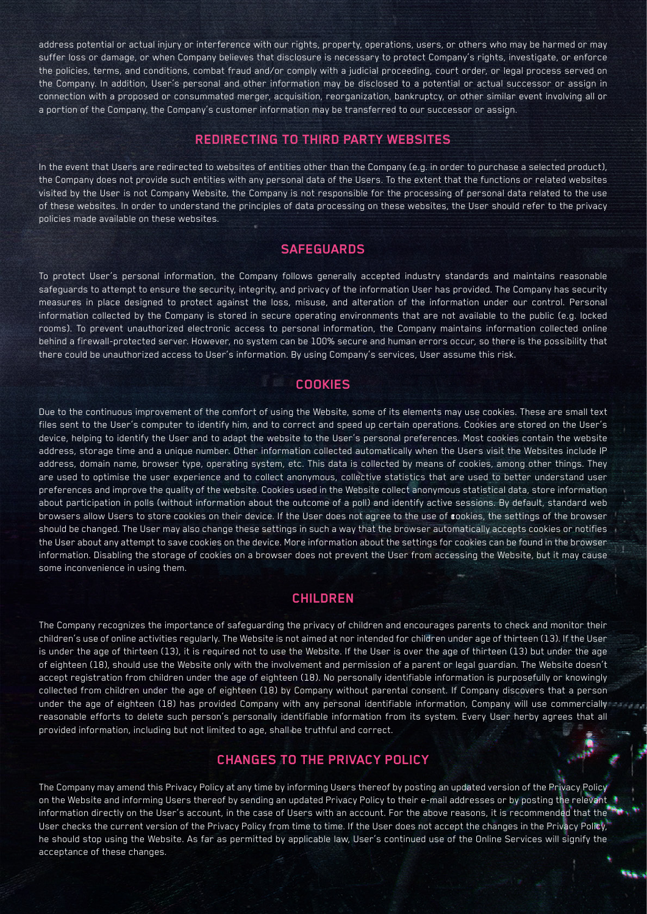address potential or actual injury or interference with our rights, property, operations, users, or others who may be harmed or may suffer loss or damage, or when Company believes that disclosure is necessary to protect Company's rights, investigate, or enforce the policies, terms, and conditions, combat fraud and/or comply with a judicial proceeding, court order, or legal process served on the Company. In addition, User's personal and other information may be disclosed to a potential or actual successor or assign in connection with a proposed or consummated merger, acquisition, reorganization, bankruptcy, or other similar event involving all or a portion of the Company, the Company's customer information may be transferred to our successor or assign.

#### **REDIRECTING TO THIRD PARTY WEBSITES**

In the event that Users are redirected to websites of entities other than the Company (e.g. in order to purchase a selected product), the Company does not provide such entities with any personal data of the Users. To the extent that the functions or related websites visited by the User is not Company Website, the Company is not responsible for the processing of personal data related to the use of these websites. In order to understand the principles of data processing on these websites, the User should refer to the privacy policies made available on these websites.

## **SAFEGUARDS**

To protect User's personal information, the Company follows generally accepted industry standards and maintains reasonable safeguards to attempt to ensure the security, integrity, and privacy of the information User has provided. The Company has security measures in place designed to protect against the loss, misuse, and alteration of the information under our control. Personal information collected by the Company is stored in secure operating environments that are not available to the public (e.g. locked rooms). To prevent unauthorized electronic access to personal information, the Company maintains information collected online behind a firewall-protected server. However, no system can be 100% secure and human errors occur, so there is the possibility that there could be unauthorized access to User's information. By using Company's services, User assume this risk.

#### **COOKIES**

Due to the continuous improvement of the comfort of using the Website, some of its elements may use cookies. These are small text files sent to the User's computer to identify him, and to correct and speed up certain operations. Cookies are stored on the User's device, helping to identify the User and to adapt the website to the User's personal preferences. Most cookies contain the website address, storage time and a unique number. Other information collected automatically when the Users visit the Websites include IP address, domain name, browser type, operating system, etc. This data is collected by means of cookies, among other things. They are used to optimise the user experience and to collect anonymous, collective statistics that are used to better understand user preferences and improve the quality of the website. Cookies used in the Website collect anonymous statistical data, store information about participation in polls (without information about the outcome of a poll) and identify active sessions. By default, standard web browsers allow Users to store cookies on their device. If the User does not agree to the use of cookies, the settings of the browser should be changed. The User may also change these settings in such a way that the browser automatically accepts cookies or notifies the User about any attempt to save cookies on the device. More information about the settings for cookies can be found in the browser information. Disabling the storage of cookies on a browser does not prevent the User from accessing the Website, but it may cause some inconvenience in using them.

#### **CHILDREN**

The Company recognizes the importance of safeguarding the privacy of children and encourages parents to check and monitor their children's use of online activities regularly. The Website is not aimed at nor intended for children under age of thirteen (13). If the User is under the age of thirteen (13), it is required not to use the Website. If the User is over the age of thirteen (13) but under the age of eighteen (18), should use the Website only with the involvement and permission of a parent or legal guardian. The Website doesn't accept registration from children under the age of eighteen (18). No personally identifiable information is purposefully or knowingly collected from children under the age of eighteen (18) by Company without parental consent. If Company discovers that a person under the age of eighteen (18) has provided Company with any personal identifiable information, Company will use commercially reasonable efforts to delete such person's personally identifiable information from its system. Every User herby agrees that all provided information, including but not limited to age, shall be truthful and correct.

## **CHANGES TO THE PRIVACY POLICY**

The Company may amend this Privacy Policy at any time by informing Users thereof by posting an updated version of the Privacy Policy on the Website and informing Users thereof by sending an updated Privacy Policy to their e-mail addresses or by posting the relevant information directly on the User's account, in the case of Users with an account. For the above reasons, it is recommended that the User checks the current version of the Privacy Policy from time to time. If the User does not accept the changes in the Privacy Policy, he should stop using the Website. As far as permitted by applicable law, User's continued use of the Online Services will signify the acceptance of these changes.